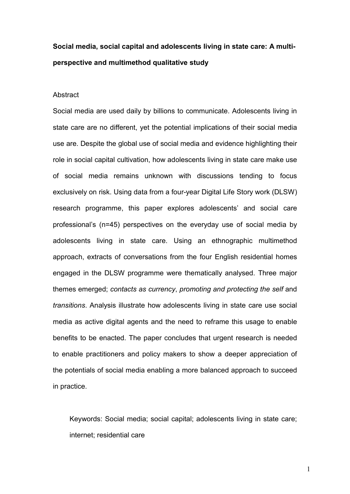# Social media, social capital and adolescents living in state care: A multiperspective and multimethod qualitative study

## Abstract

Social media are used daily by billions to communicate. Adolescents living in state care are no different, yet the potential implications of their social media use are. Despite the global use of social media and evidence highlighting their role in social capital cultivation, how adolescents living in state care make use of social media remains unknown with discussions tending to focus exclusively on risk. Using data from a four-year Digital Life Story work (DLSW) research programme, this paper explores adolescents' and social care professional's (n=45) perspectives on the everyday use of social media by adolescents living in state care. Using an ethnographic multimethod approach, extracts of conversations from the four English residential homes engaged in the DLSW programme were thematically analysed. Three major themes emerged; contacts as currency, promoting and protecting the self and transitions. Analysis illustrate how adolescents living in state care use social media as active digital agents and the need to reframe this usage to enable benefits to be enacted. The paper concludes that urgent research is needed to enable practitioners and policy makers to show a deeper appreciation of the potentials of social media enabling a more balanced approach to succeed in practice.

Keywords: Social media; social capital; adolescents living in state care; internet; residential care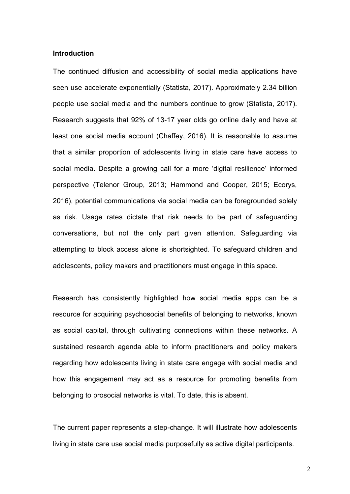# Introduction

The continued diffusion and accessibility of social media applications have seen use accelerate exponentially (Statista, 2017). Approximately 2.34 billion people use social media and the numbers continue to grow (Statista, 2017). Research suggests that 92% of 13-17 year olds go online daily and have at least one social media account (Chaffey, 2016). It is reasonable to assume that a similar proportion of adolescents living in state care have access to social media. Despite a growing call for a more 'digital resilience' informed perspective (Telenor Group, 2013; Hammond and Cooper, 2015; Ecorys, 2016), potential communications via social media can be foregrounded solely as risk. Usage rates dictate that risk needs to be part of safeguarding conversations, but not the only part given attention. Safeguarding via attempting to block access alone is shortsighted. To safeguard children and adolescents, policy makers and practitioners must engage in this space.

Research has consistently highlighted how social media apps can be a resource for acquiring psychosocial benefits of belonging to networks, known as social capital, through cultivating connections within these networks. A sustained research agenda able to inform practitioners and policy makers regarding how adolescents living in state care engage with social media and how this engagement may act as a resource for promoting benefits from belonging to prosocial networks is vital. To date, this is absent.

The current paper represents a step-change. It will illustrate how adolescents living in state care use social media purposefully as active digital participants.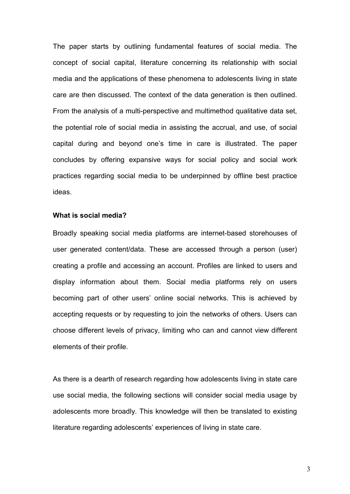The paper starts by outlining fundamental features of social media. The concept of social capital, literature concerning its relationship with social media and the applications of these phenomena to adolescents living in state care are then discussed. The context of the data generation is then outlined. From the analysis of a multi-perspective and multimethod qualitative data set, the potential role of social media in assisting the accrual, and use, of social capital during and beyond one's time in care is illustrated. The paper concludes by offering expansive ways for social policy and social work practices regarding social media to be underpinned by offline best practice ideas.

# What is social media?

Broadly speaking social media platforms are internet-based storehouses of user generated content/data. These are accessed through a person (user) creating a profile and accessing an account. Profiles are linked to users and display information about them. Social media platforms rely on users becoming part of other users' online social networks. This is achieved by accepting requests or by requesting to join the networks of others. Users can choose different levels of privacy, limiting who can and cannot view different elements of their profile.

As there is a dearth of research regarding how adolescents living in state care use social media, the following sections will consider social media usage by adolescents more broadly. This knowledge will then be translated to existing literature regarding adolescents' experiences of living in state care.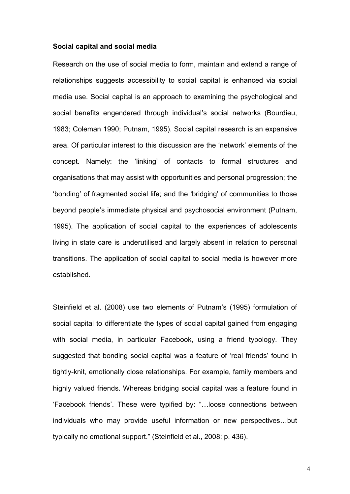## Social capital and social media

Research on the use of social media to form, maintain and extend a range of relationships suggests accessibility to social capital is enhanced via social media use. Social capital is an approach to examining the psychological and social benefits engendered through individual's social networks (Bourdieu, 1983; Coleman 1990; Putnam, 1995). Social capital research is an expansive area. Of particular interest to this discussion are the 'network' elements of the concept. Namely: the 'linking' of contacts to formal structures and organisations that may assist with opportunities and personal progression; the 'bonding' of fragmented social life; and the 'bridging' of communities to those beyond people's immediate physical and psychosocial environment (Putnam, 1995). The application of social capital to the experiences of adolescents living in state care is underutilised and largely absent in relation to personal transitions. The application of social capital to social media is however more established.

Steinfield et al. (2008) use two elements of Putnam's (1995) formulation of social capital to differentiate the types of social capital gained from engaging with social media, in particular Facebook, using a friend typology. They suggested that bonding social capital was a feature of 'real friends' found in tightly-knit, emotionally close relationships. For example, family members and highly valued friends. Whereas bridging social capital was a feature found in 'Facebook friends'. These were typified by: "…loose connections between individuals who may provide useful information or new perspectives…but typically no emotional support." (Steinfield et al., 2008: p. 436).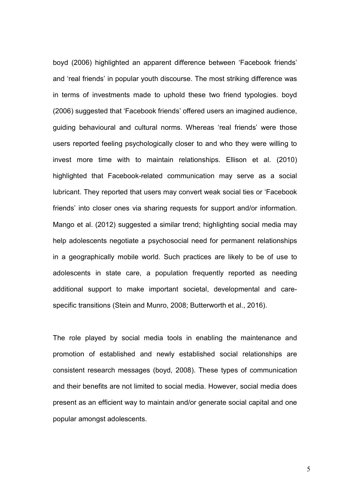boyd (2006) highlighted an apparent difference between 'Facebook friends' and 'real friends' in popular youth discourse. The most striking difference was in terms of investments made to uphold these two friend typologies. boyd (2006) suggested that 'Facebook friends' offered users an imagined audience, guiding behavioural and cultural norms. Whereas 'real friends' were those users reported feeling psychologically closer to and who they were willing to invest more time with to maintain relationships. Ellison et al. (2010) highlighted that Facebook-related communication may serve as a social lubricant. They reported that users may convert weak social ties or 'Facebook friends' into closer ones via sharing requests for support and/or information. Mango et al. (2012) suggested a similar trend; highlighting social media may help adolescents negotiate a psychosocial need for permanent relationships in a geographically mobile world. Such practices are likely to be of use to adolescents in state care, a population frequently reported as needing additional support to make important societal, developmental and carespecific transitions (Stein and Munro, 2008; Butterworth et al., 2016).

The role played by social media tools in enabling the maintenance and promotion of established and newly established social relationships are consistent research messages (boyd, 2008). These types of communication and their benefits are not limited to social media. However, social media does present as an efficient way to maintain and/or generate social capital and one popular amongst adolescents.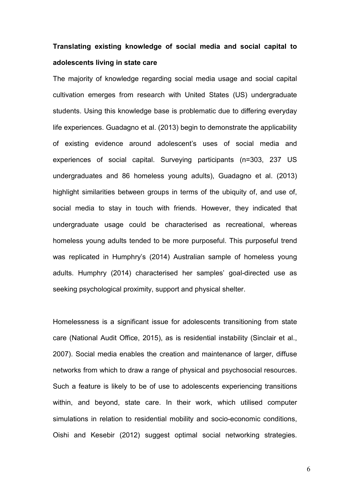# Translating existing knowledge of social media and social capital to adolescents living in state care

The majority of knowledge regarding social media usage and social capital cultivation emerges from research with United States (US) undergraduate students. Using this knowledge base is problematic due to differing everyday life experiences. Guadagno et al. (2013) begin to demonstrate the applicability of existing evidence around adolescent's uses of social media and experiences of social capital. Surveying participants (n=303, 237 US undergraduates and 86 homeless young adults), Guadagno et al. (2013) highlight similarities between groups in terms of the ubiquity of, and use of, social media to stay in touch with friends. However, they indicated that undergraduate usage could be characterised as recreational, whereas homeless young adults tended to be more purposeful. This purposeful trend was replicated in Humphry's (2014) Australian sample of homeless young adults. Humphry (2014) characterised her samples' goal-directed use as seeking psychological proximity, support and physical shelter.

Homelessness is a significant issue for adolescents transitioning from state care (National Audit Office, 2015), as is residential instability (Sinclair et al., 2007). Social media enables the creation and maintenance of larger, diffuse networks from which to draw a range of physical and psychosocial resources. Such a feature is likely to be of use to adolescents experiencing transitions within, and beyond, state care. In their work, which utilised computer simulations in relation to residential mobility and socio-economic conditions, Oishi and Kesebir (2012) suggest optimal social networking strategies.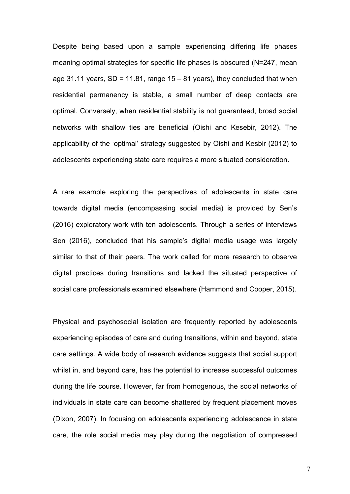Despite being based upon a sample experiencing differing life phases meaning optimal strategies for specific life phases is obscured (N=247, mean age 31.11 years,  $SD = 11.81$ , range  $15 - 81$  years), they concluded that when residential permanency is stable, a small number of deep contacts are optimal. Conversely, when residential stability is not guaranteed, broad social networks with shallow ties are beneficial (Oishi and Kesebir, 2012). The applicability of the 'optimal' strategy suggested by Oishi and Kesbir (2012) to adolescents experiencing state care requires a more situated consideration.

A rare example exploring the perspectives of adolescents in state care towards digital media (encompassing social media) is provided by Sen's (2016) exploratory work with ten adolescents. Through a series of interviews Sen (2016), concluded that his sample's digital media usage was largely similar to that of their peers. The work called for more research to observe digital practices during transitions and lacked the situated perspective of social care professionals examined elsewhere (Hammond and Cooper, 2015).

Physical and psychosocial isolation are frequently reported by adolescents experiencing episodes of care and during transitions, within and beyond, state care settings. A wide body of research evidence suggests that social support whilst in, and beyond care, has the potential to increase successful outcomes during the life course. However, far from homogenous, the social networks of individuals in state care can become shattered by frequent placement moves (Dixon, 2007). In focusing on adolescents experiencing adolescence in state care, the role social media may play during the negotiation of compressed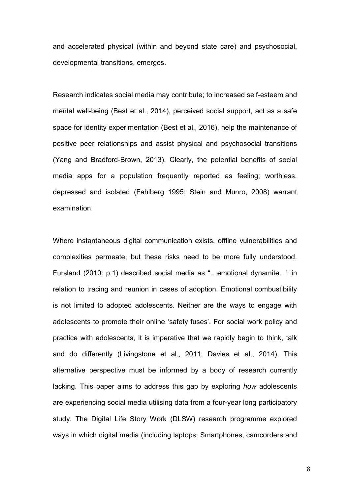and accelerated physical (within and beyond state care) and psychosocial, developmental transitions, emerges.

Research indicates social media may contribute; to increased self-esteem and mental well-being (Best et al., 2014), perceived social support, act as a safe space for identity experimentation (Best et al., 2016), help the maintenance of positive peer relationships and assist physical and psychosocial transitions (Yang and Bradford-Brown, 2013). Clearly, the potential benefits of social media apps for a population frequently reported as feeling; worthless, depressed and isolated (Fahlberg 1995; Stein and Munro, 2008) warrant examination.

Where instantaneous digital communication exists, offline vulnerabilities and complexities permeate, but these risks need to be more fully understood. Fursland (2010: p.1) described social media as "…emotional dynamite…" in relation to tracing and reunion in cases of adoption. Emotional combustibility is not limited to adopted adolescents. Neither are the ways to engage with adolescents to promote their online 'safety fuses'. For social work policy and practice with adolescents, it is imperative that we rapidly begin to think, talk and do differently (Livingstone et al., 2011; Davies et al., 2014). This alternative perspective must be informed by a body of research currently lacking. This paper aims to address this gap by exploring how adolescents are experiencing social media utilising data from a four-year long participatory study. The Digital Life Story Work (DLSW) research programme explored ways in which digital media (including laptops, Smartphones, camcorders and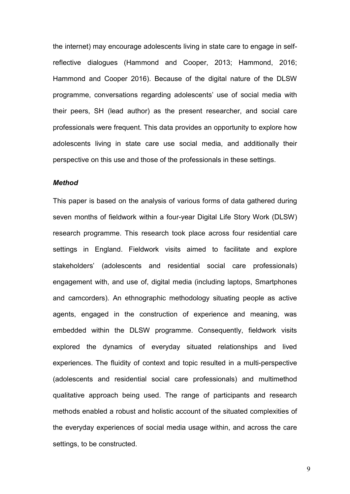the internet) may encourage adolescents living in state care to engage in selfreflective dialogues (Hammond and Cooper, 2013; Hammond, 2016; Hammond and Cooper 2016). Because of the digital nature of the DLSW programme, conversations regarding adolescents' use of social media with their peers, SH (lead author) as the present researcher, and social care professionals were frequent. This data provides an opportunity to explore how adolescents living in state care use social media, and additionally their perspective on this use and those of the professionals in these settings.

## **Method**

This paper is based on the analysis of various forms of data gathered during seven months of fieldwork within a four-year Digital Life Story Work (DLSW) research programme. This research took place across four residential care settings in England. Fieldwork visits aimed to facilitate and explore stakeholders' (adolescents and residential social care professionals) engagement with, and use of, digital media (including laptops, Smartphones and camcorders). An ethnographic methodology situating people as active agents, engaged in the construction of experience and meaning, was embedded within the DLSW programme. Consequently, fieldwork visits explored the dynamics of everyday situated relationships and lived experiences. The fluidity of context and topic resulted in a multi-perspective (adolescents and residential social care professionals) and multimethod qualitative approach being used. The range of participants and research methods enabled a robust and holistic account of the situated complexities of the everyday experiences of social media usage within, and across the care settings, to be constructed.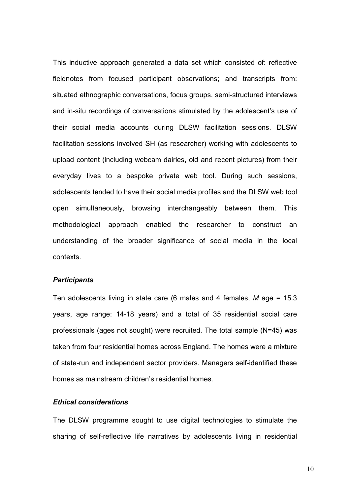This inductive approach generated a data set which consisted of: reflective fieldnotes from focused participant observations; and transcripts from: situated ethnographic conversations, focus groups, semi-structured interviews and in-situ recordings of conversations stimulated by the adolescent's use of their social media accounts during DLSW facilitation sessions. DLSW facilitation sessions involved SH (as researcher) working with adolescents to upload content (including webcam dairies, old and recent pictures) from their everyday lives to a bespoke private web tool. During such sessions, adolescents tended to have their social media profiles and the DLSW web tool open simultaneously, browsing interchangeably between them. This methodological approach enabled the researcher to construct an understanding of the broader significance of social media in the local contexts.

# **Participants**

Ten adolescents living in state care (6 males and 4 females,  $M$  age = 15.3 years, age range: 14-18 years) and a total of 35 residential social care professionals (ages not sought) were recruited. The total sample (N=45) was taken from four residential homes across England. The homes were a mixture of state-run and independent sector providers. Managers self-identified these homes as mainstream children's residential homes.

## Ethical considerations

The DLSW programme sought to use digital technologies to stimulate the sharing of self-reflective life narratives by adolescents living in residential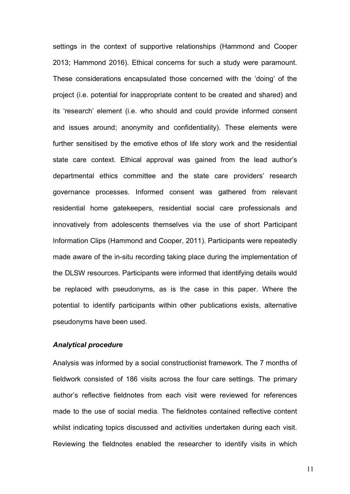settings in the context of supportive relationships (Hammond and Cooper 2013; Hammond 2016). Ethical concerns for such a study were paramount. These considerations encapsulated those concerned with the 'doing' of the project (i.e. potential for inappropriate content to be created and shared) and its 'research' element (i.e. who should and could provide informed consent and issues around; anonymity and confidentiality). These elements were further sensitised by the emotive ethos of life story work and the residential state care context. Ethical approval was gained from the lead author's departmental ethics committee and the state care providers' research governance processes. Informed consent was gathered from relevant residential home gatekeepers, residential social care professionals and innovatively from adolescents themselves via the use of short Participant Information Clips (Hammond and Cooper, 2011). Participants were repeatedly made aware of the in-situ recording taking place during the implementation of the DLSW resources. Participants were informed that identifying details would be replaced with pseudonyms, as is the case in this paper. Where the potential to identify participants within other publications exists, alternative pseudonyms have been used.

# Analytical procedure

Analysis was informed by a social constructionist framework. The 7 months of fieldwork consisted of 186 visits across the four care settings. The primary author's reflective fieldnotes from each visit were reviewed for references made to the use of social media. The fieldnotes contained reflective content whilst indicating topics discussed and activities undertaken during each visit. Reviewing the fieldnotes enabled the researcher to identify visits in which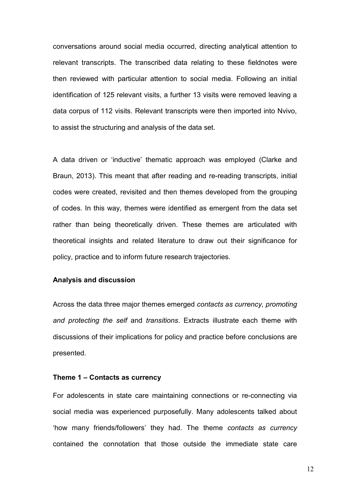conversations around social media occurred, directing analytical attention to relevant transcripts. The transcribed data relating to these fieldnotes were then reviewed with particular attention to social media. Following an initial identification of 125 relevant visits, a further 13 visits were removed leaving a data corpus of 112 visits. Relevant transcripts were then imported into Nvivo, to assist the structuring and analysis of the data set.

A data driven or 'inductive' thematic approach was employed (Clarke and Braun, 2013). This meant that after reading and re-reading transcripts, initial codes were created, revisited and then themes developed from the grouping of codes. In this way, themes were identified as emergent from the data set rather than being theoretically driven. These themes are articulated with theoretical insights and related literature to draw out their significance for policy, practice and to inform future research trajectories.

# Analysis and discussion

Across the data three major themes emerged contacts as currency, promoting and protecting the self and transitions. Extracts illustrate each theme with discussions of their implications for policy and practice before conclusions are presented.

## Theme 1 – Contacts as currency

For adolescents in state care maintaining connections or re-connecting via social media was experienced purposefully. Many adolescents talked about 'how many friends/followers' they had. The theme contacts as currency contained the connotation that those outside the immediate state care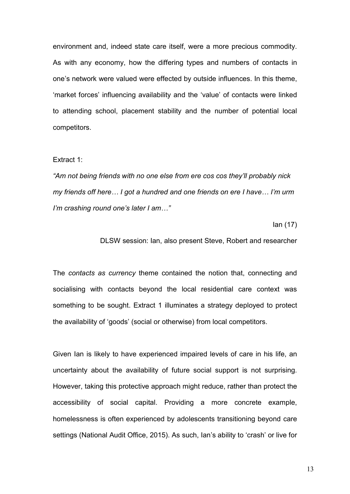environment and, indeed state care itself, were a more precious commodity. As with any economy, how the differing types and numbers of contacts in one's network were valued were effected by outside influences. In this theme, 'market forces' influencing availability and the 'value' of contacts were linked to attending school, placement stability and the number of potential local competitors.

## Extract 1:

"Am not being friends with no one else from ere cos cos they'll probably nick my friends off here… I got a hundred and one friends on ere I have… I'm urm I'm crashing round one's later I am…"

Ian (17)

DLSW session: Ian, also present Steve, Robert and researcher

The contacts as currency theme contained the notion that, connecting and socialising with contacts beyond the local residential care context was something to be sought. Extract 1 illuminates a strategy deployed to protect the availability of 'goods' (social or otherwise) from local competitors.

Given Ian is likely to have experienced impaired levels of care in his life, an uncertainty about the availability of future social support is not surprising. However, taking this protective approach might reduce, rather than protect the accessibility of social capital. Providing a more concrete example, homelessness is often experienced by adolescents transitioning beyond care settings (National Audit Office, 2015). As such, Ian's ability to 'crash' or live for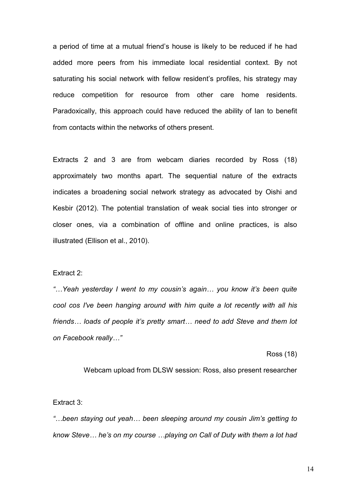a period of time at a mutual friend's house is likely to be reduced if he had added more peers from his immediate local residential context. By not saturating his social network with fellow resident's profiles, his strategy may reduce competition for resource from other care home residents. Paradoxically, this approach could have reduced the ability of Ian to benefit from contacts within the networks of others present.

Extracts 2 and 3 are from webcam diaries recorded by Ross (18) approximately two months apart. The sequential nature of the extracts indicates a broadening social network strategy as advocated by Oishi and Kesbir (2012). The potential translation of weak social ties into stronger or closer ones, via a combination of offline and online practices, is also illustrated (Ellison et al., 2010).

## Extract 2:

"…Yeah yesterday I went to my cousin's again… you know it's been quite cool cos I've been hanging around with him quite a lot recently with all his friends... loads of people it's pretty smart... need to add Steve and them lot on Facebook really…"

#### Ross (18)

Webcam upload from DLSW session: Ross, also present researcher

Extract 3:

"…been staying out yeah… been sleeping around my cousin Jim's getting to know Steve… he's on my course …playing on Call of Duty with them a lot had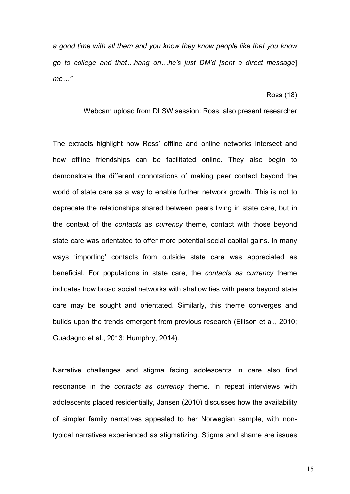a good time with all them and you know they know people like that you know go to college and that…hang on…he's just DM'd [sent a direct message] me…"

Ross (18)

# Webcam upload from DLSW session: Ross, also present researcher

The extracts highlight how Ross' offline and online networks intersect and how offline friendships can be facilitated online. They also begin to demonstrate the different connotations of making peer contact beyond the world of state care as a way to enable further network growth. This is not to deprecate the relationships shared between peers living in state care, but in the context of the contacts as currency theme, contact with those beyond state care was orientated to offer more potential social capital gains. In many ways 'importing' contacts from outside state care was appreciated as beneficial. For populations in state care, the contacts as currency theme indicates how broad social networks with shallow ties with peers beyond state care may be sought and orientated. Similarly, this theme converges and builds upon the trends emergent from previous research (Ellison et al., 2010; Guadagno et al., 2013; Humphry, 2014).

Narrative challenges and stigma facing adolescents in care also find resonance in the contacts as currency theme. In repeat interviews with adolescents placed residentially, Jansen (2010) discusses how the availability of simpler family narratives appealed to her Norwegian sample, with nontypical narratives experienced as stigmatizing. Stigma and shame are issues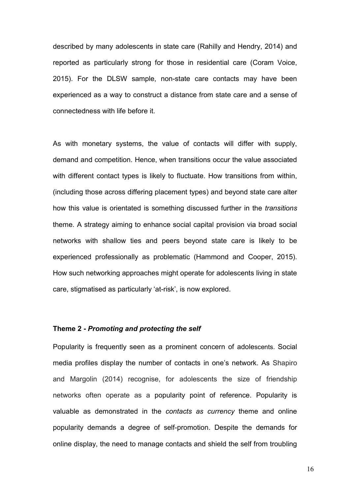described by many adolescents in state care (Rahilly and Hendry, 2014) and reported as particularly strong for those in residential care (Coram Voice, 2015). For the DLSW sample, non-state care contacts may have been experienced as a way to construct a distance from state care and a sense of connectedness with life before it.

As with monetary systems, the value of contacts will differ with supply, demand and competition. Hence, when transitions occur the value associated with different contact types is likely to fluctuate. How transitions from within, (including those across differing placement types) and beyond state care alter how this value is orientated is something discussed further in the *transitions* theme. A strategy aiming to enhance social capital provision via broad social networks with shallow ties and peers beyond state care is likely to be experienced professionally as problematic (Hammond and Cooper, 2015). How such networking approaches might operate for adolescents living in state care, stigmatised as particularly 'at-risk', is now explored.

# Theme 2 - Promoting and protecting the self

Popularity is frequently seen as a prominent concern of adolescents. Social media profiles display the number of contacts in one's network. As Shapiro and Margolin (2014) recognise, for adolescents the size of friendship networks often operate as a popularity point of reference. Popularity is valuable as demonstrated in the contacts as currency theme and online popularity demands a degree of self-promotion. Despite the demands for online display, the need to manage contacts and shield the self from troubling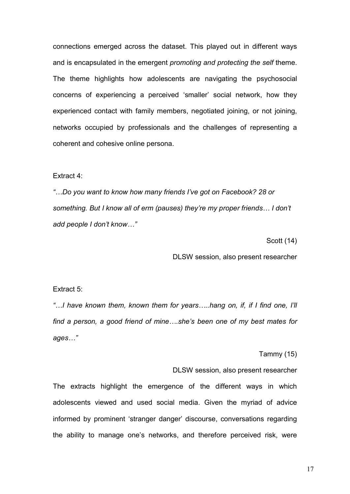connections emerged across the dataset. This played out in different ways and is encapsulated in the emergent *promoting and protecting the self* theme. The theme highlights how adolescents are navigating the psychosocial concerns of experiencing a perceived 'smaller' social network, how they experienced contact with family members, negotiated joining, or not joining, networks occupied by professionals and the challenges of representing a coherent and cohesive online persona.

## Extract 4:

"…Do you want to know how many friends I've got on Facebook? 28 or something. But I know all of erm (pauses) they're my proper friends… I don't add people I don't know…"

Scott (14)

DLSW session, also present researcher

# Extract 5:

"…I have known them, known them for years…..hang on, if, if I find one, I'll find a person, a good friend of mine….she's been one of my best mates for ages…"

Tammy (15)

## DLSW session, also present researcher

The extracts highlight the emergence of the different ways in which adolescents viewed and used social media. Given the myriad of advice informed by prominent 'stranger danger' discourse, conversations regarding the ability to manage one's networks, and therefore perceived risk, were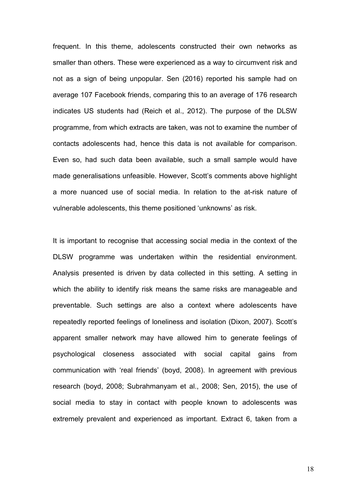frequent. In this theme, adolescents constructed their own networks as smaller than others. These were experienced as a way to circumvent risk and not as a sign of being unpopular. Sen (2016) reported his sample had on average 107 Facebook friends, comparing this to an average of 176 research indicates US students had (Reich et al., 2012). The purpose of the DLSW programme, from which extracts are taken, was not to examine the number of contacts adolescents had, hence this data is not available for comparison. Even so, had such data been available, such a small sample would have made generalisations unfeasible. However, Scott's comments above highlight a more nuanced use of social media. In relation to the at-risk nature of vulnerable adolescents, this theme positioned 'unknowns' as risk.

It is important to recognise that accessing social media in the context of the DLSW programme was undertaken within the residential environment. Analysis presented is driven by data collected in this setting. A setting in which the ability to identify risk means the same risks are manageable and preventable. Such settings are also a context where adolescents have repeatedly reported feelings of loneliness and isolation (Dixon, 2007). Scott's apparent smaller network may have allowed him to generate feelings of psychological closeness associated with social capital gains from communication with 'real friends' (boyd, 2008). In agreement with previous research (boyd, 2008; Subrahmanyam et al., 2008; Sen, 2015), the use of social media to stay in contact with people known to adolescents was extremely prevalent and experienced as important. Extract 6, taken from a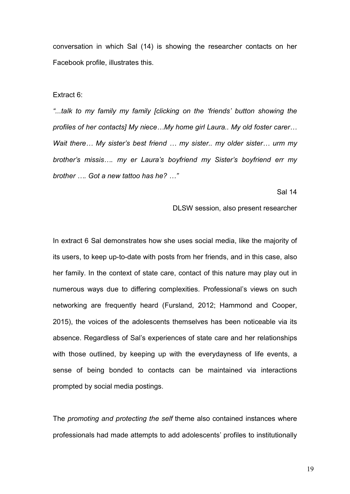conversation in which Sal (14) is showing the researcher contacts on her Facebook profile, illustrates this.

Extract 6:

"...talk to my family my family [clicking on the 'friends' button showing the profiles of her contacts] My niece…My home girl Laura.. My old foster carer… Wait there... My sister's best friend ... my sister.. my older sister... urm my brother's missis…. my er Laura's boyfriend my Sister's boyfriend err my brother …. Got a new tattoo has he? …"

Sal 14

DLSW session, also present researcher

In extract 6 Sal demonstrates how she uses social media, like the majority of its users, to keep up-to-date with posts from her friends, and in this case, also her family. In the context of state care, contact of this nature may play out in numerous ways due to differing complexities. Professional's views on such networking are frequently heard (Fursland, 2012; Hammond and Cooper, 2015), the voices of the adolescents themselves has been noticeable via its absence. Regardless of Sal's experiences of state care and her relationships with those outlined, by keeping up with the everydayness of life events, a sense of being bonded to contacts can be maintained via interactions prompted by social media postings.

The promoting and protecting the self theme also contained instances where professionals had made attempts to add adolescents' profiles to institutionally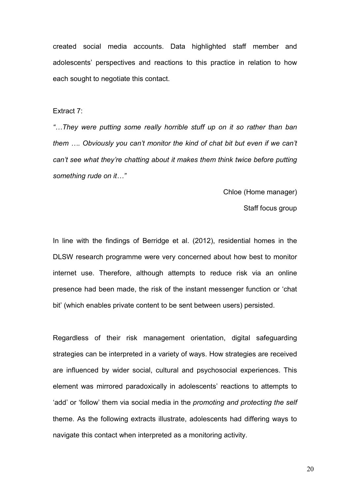created social media accounts. Data highlighted staff member and adolescents' perspectives and reactions to this practice in relation to how each sought to negotiate this contact.

## Extract 7:

"…They were putting some really horrible stuff up on it so rather than ban them …. Obviously you can't monitor the kind of chat bit but even if we can't can't see what they're chatting about it makes them think twice before putting something rude on it…"

Chloe (Home manager)

Staff focus group

In line with the findings of Berridge et al. (2012), residential homes in the DLSW research programme were very concerned about how best to monitor internet use. Therefore, although attempts to reduce risk via an online presence had been made, the risk of the instant messenger function or 'chat bit' (which enables private content to be sent between users) persisted.

Regardless of their risk management orientation, digital safeguarding strategies can be interpreted in a variety of ways. How strategies are received are influenced by wider social, cultural and psychosocial experiences. This element was mirrored paradoxically in adolescents' reactions to attempts to 'add' or 'follow' them via social media in the promoting and protecting the self theme. As the following extracts illustrate, adolescents had differing ways to navigate this contact when interpreted as a monitoring activity.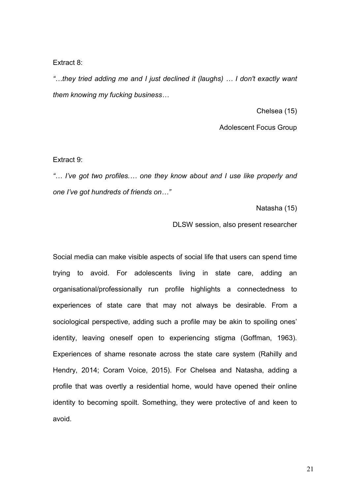Extract 8:

"…they tried adding me and I just declined it (laughs) … I don't exactly want them knowing my fucking business…

Chelsea (15)

Adolescent Focus Group

Extract 9:

"… I've got two profiles.… one they know about and I use like properly and one I've got hundreds of friends on…"

Natasha (15)

DLSW session, also present researcher

Social media can make visible aspects of social life that users can spend time trying to avoid. For adolescents living in state care, adding an organisational/professionally run profile highlights a connectedness to experiences of state care that may not always be desirable. From a sociological perspective, adding such a profile may be akin to spoiling ones' identity, leaving oneself open to experiencing stigma (Goffman, 1963). Experiences of shame resonate across the state care system (Rahilly and Hendry, 2014; Coram Voice, 2015). For Chelsea and Natasha, adding a profile that was overtly a residential home, would have opened their online identity to becoming spoilt. Something, they were protective of and keen to avoid.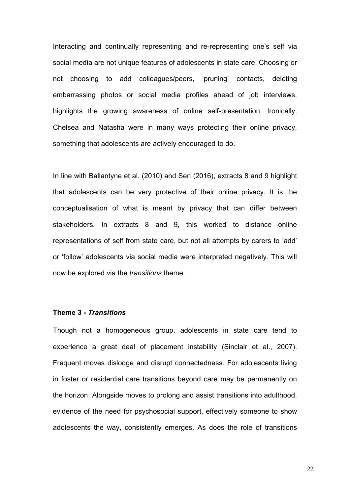Interacting and continually representing and re-representing one's self via social media are not unique features of adolescents in state care. Choosing or not choosing to add colleagues/peers, 'pruning' contacts, deleting embarrassing photos or social media profiles ahead of job interviews, highlights the growing awareness of online self-presentation. Ironically, Chelsea and Natasha were in many ways protecting their online privacy, something that adolescents are actively encouraged to do.

In line with Ballantyne et al. (2010) and Sen (2016), extracts 8 and 9 highlight that adolescents can be very protective of their online privacy. It is the conceptualisation of what is meant by privacy that can differ between stakeholders. In extracts 8 and 9, this worked to distance online representations of self from state care, but not all attempts by carers to 'add' or 'follow' adolescents via social media were interpreted negatively. This will now be explored via the transitions theme.

## Theme 3 - Transitions

Though not a homogeneous group, adolescents in state care tend to experience a great deal of placement instability (Sinclair et al., 2007). Frequent moves dislodge and disrupt connectedness. For adolescents living in foster or residential care transitions beyond care may be permanently on the horizon. Alongside moves to prolong and assist transitions into adulthood, evidence of the need for psychosocial support, effectively someone to show adolescents the way, consistently emerges. As does the role of transitions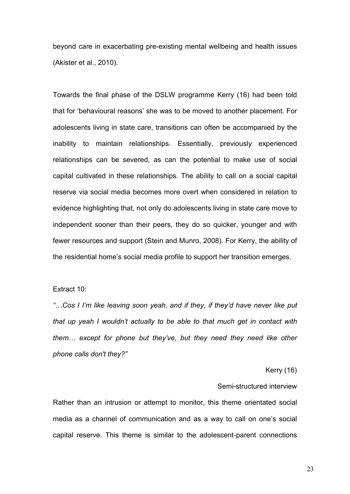beyond care in exacerbating pre-existing mental wellbeing and health issues (Akister et al., 2010).

Towards the final phase of the DSLW programme Kerry (16) had been told that for 'behavioural reasons' she was to be moved to another placement. For adolescents living in state care, transitions can often be accompanied by the inability to maintain relationships. Essentially, previously experienced relationships can be severed, as can the potential to make use of social capital cultivated in these relationships. The ability to call on a social capital reserve via social media becomes more overt when considered in relation to evidence highlighting that, not only do adolescents living in state care move to independent sooner than their peers, they do so quicker, younger and with fewer resources and support (Stein and Munro, 2008). For Kerry, the ability of the residential home's social media profile to support her transition emerges.

Extract 10:

"…Cos I I'm like leaving soon yeah, and if they, if they'd have never like put that up yeah I wouldn't actually to be able to that much get in contact with them… except for phone but they've, but they need they need like other phone calls don't they?"

## Kerry (16)

## Semi-structured interview

Rather than an intrusion or attempt to monitor, this theme orientated social media as a channel of communication and as a way to call on one's social capital reserve. This theme is similar to the adolescent-parent connections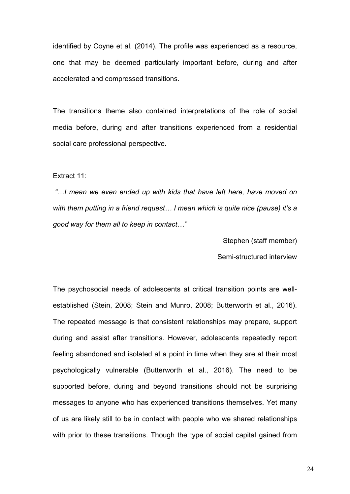identified by Coyne et al. (2014). The profile was experienced as a resource, one that may be deemed particularly important before, during and after accelerated and compressed transitions.

The transitions theme also contained interpretations of the role of social media before, during and after transitions experienced from a residential social care professional perspective.

Extract 11:

 "…I mean we even ended up with kids that have left here, have moved on with them putting in a friend request... I mean which is quite nice (pause) it's a good way for them all to keep in contact…"

Stephen (staff member)

Semi-structured interview

The psychosocial needs of adolescents at critical transition points are wellestablished (Stein, 2008; Stein and Munro, 2008; Butterworth et al., 2016). The repeated message is that consistent relationships may prepare, support during and assist after transitions. However, adolescents repeatedly report feeling abandoned and isolated at a point in time when they are at their most psychologically vulnerable (Butterworth et al., 2016). The need to be supported before, during and beyond transitions should not be surprising messages to anyone who has experienced transitions themselves. Yet many of us are likely still to be in contact with people who we shared relationships with prior to these transitions. Though the type of social capital gained from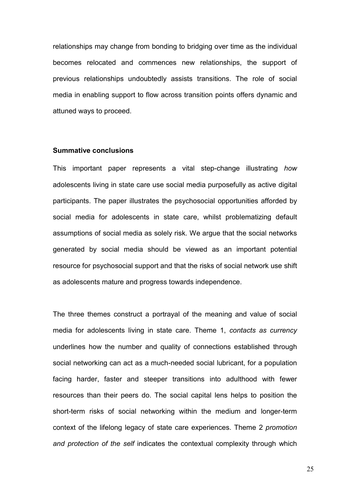relationships may change from bonding to bridging over time as the individual becomes relocated and commences new relationships, the support of previous relationships undoubtedly assists transitions. The role of social media in enabling support to flow across transition points offers dynamic and attuned ways to proceed.

## Summative conclusions

This important paper represents a vital step-change illustrating how adolescents living in state care use social media purposefully as active digital participants. The paper illustrates the psychosocial opportunities afforded by social media for adolescents in state care, whilst problematizing default assumptions of social media as solely risk. We argue that the social networks generated by social media should be viewed as an important potential resource for psychosocial support and that the risks of social network use shift as adolescents mature and progress towards independence.

The three themes construct a portrayal of the meaning and value of social media for adolescents living in state care. Theme 1, contacts as currency underlines how the number and quality of connections established through social networking can act as a much-needed social lubricant, for a population facing harder, faster and steeper transitions into adulthood with fewer resources than their peers do. The social capital lens helps to position the short-term risks of social networking within the medium and longer-term context of the lifelong legacy of state care experiences. Theme 2 promotion and protection of the self indicates the contextual complexity through which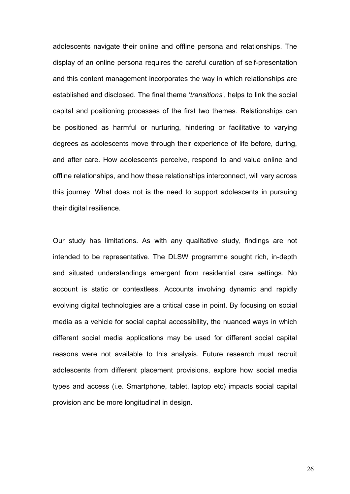adolescents navigate their online and offline persona and relationships. The display of an online persona requires the careful curation of self-presentation and this content management incorporates the way in which relationships are established and disclosed. The final theme 'transitions', helps to link the social capital and positioning processes of the first two themes. Relationships can be positioned as harmful or nurturing, hindering or facilitative to varying degrees as adolescents move through their experience of life before, during, and after care. How adolescents perceive, respond to and value online and offline relationships, and how these relationships interconnect, will vary across this journey. What does not is the need to support adolescents in pursuing their digital resilience.

Our study has limitations. As with any qualitative study, findings are not intended to be representative. The DLSW programme sought rich, in-depth and situated understandings emergent from residential care settings. No account is static or contextless. Accounts involving dynamic and rapidly evolving digital technologies are a critical case in point. By focusing on social media as a vehicle for social capital accessibility, the nuanced ways in which different social media applications may be used for different social capital reasons were not available to this analysis. Future research must recruit adolescents from different placement provisions, explore how social media types and access (i.e. Smartphone, tablet, laptop etc) impacts social capital provision and be more longitudinal in design.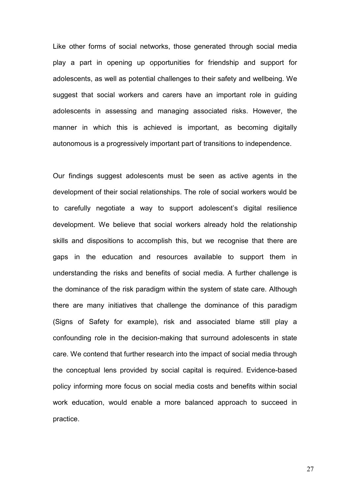Like other forms of social networks, those generated through social media play a part in opening up opportunities for friendship and support for adolescents, as well as potential challenges to their safety and wellbeing. We suggest that social workers and carers have an important role in guiding adolescents in assessing and managing associated risks. However, the manner in which this is achieved is important, as becoming digitally autonomous is a progressively important part of transitions to independence.

Our findings suggest adolescents must be seen as active agents in the development of their social relationships. The role of social workers would be to carefully negotiate a way to support adolescent's digital resilience development. We believe that social workers already hold the relationship skills and dispositions to accomplish this, but we recognise that there are gaps in the education and resources available to support them in understanding the risks and benefits of social media. A further challenge is the dominance of the risk paradigm within the system of state care. Although there are many initiatives that challenge the dominance of this paradigm (Signs of Safety for example), risk and associated blame still play a confounding role in the decision-making that surround adolescents in state care. We contend that further research into the impact of social media through the conceptual lens provided by social capital is required. Evidence-based policy informing more focus on social media costs and benefits within social work education, would enable a more balanced approach to succeed in practice.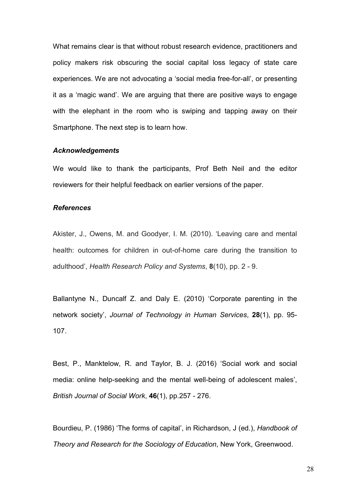What remains clear is that without robust research evidence, practitioners and policy makers risk obscuring the social capital loss legacy of state care experiences. We are not advocating a 'social media free-for-all', or presenting it as a 'magic wand'. We are arguing that there are positive ways to engage with the elephant in the room who is swiping and tapping away on their Smartphone. The next step is to learn how.

# Acknowledgements

We would like to thank the participants, Prof Beth Neil and the editor reviewers for their helpful feedback on earlier versions of the paper.

### References

Akister, J., Owens, M. and Goodyer, I. M. (2010). 'Leaving care and mental health: outcomes for children in out-of-home care during the transition to adulthood', Health Research Policy and Systems, 8(10), pp. 2 - 9.

Ballantyne N., Duncalf Z. and Daly E. (2010) 'Corporate parenting in the network society', Journal of Technology in Human Services, 28(1), pp. 95- 107.

Best, P., Manktelow, R. and Taylor, B. J. (2016) 'Social work and social media: online help-seeking and the mental well-being of adolescent males', British Journal of Social Work, 46(1), pp.257 - 276.

Bourdieu, P. (1986) 'The forms of capital', in Richardson, J (ed.), Handbook of Theory and Research for the Sociology of Education, New York, Greenwood.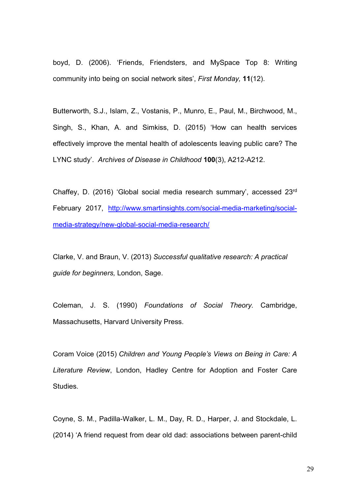boyd, D. (2006). 'Friends, Friendsters, and MySpace Top 8: Writing community into being on social network sites', First Monday, 11(12).

Butterworth, S.J., Islam, Z., Vostanis, P., Munro, E., Paul, M., Birchwood, M., Singh, S., Khan, A. and Simkiss, D. (2015) 'How can health services effectively improve the mental health of adolescents leaving public care? The LYNC study'. Archives of Disease in Childhood 100(3), A212-A212.

Chaffey, D. (2016) 'Global social media research summary', accessed 23rd February 2017, http://www.smartinsights.com/social-media-marketing/socialmedia-strategy/new-global-social-media-research/

Clarke, V. and Braun, V. (2013) Successful qualitative research: A practical guide for beginners, London, Sage.

Coleman, J. S. (1990) Foundations of Social Theory. Cambridge, Massachusetts, Harvard University Press.

Coram Voice (2015) Children and Young People's Views on Being in Care: A Literature Review, London, Hadley Centre for Adoption and Foster Care Studies.

Coyne, S. M., Padilla-Walker, L. M., Day, R. D., Harper, J. and Stockdale, L. (2014) 'A friend request from dear old dad: associations between parent-child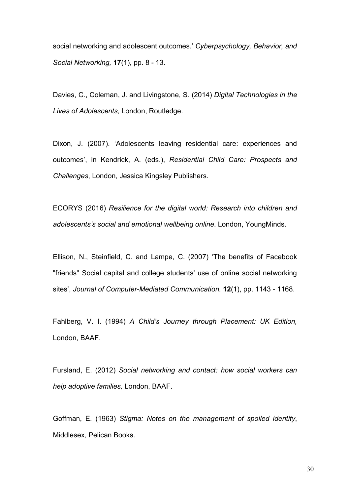social networking and adolescent outcomes.' Cyberpsychology, Behavior, and Social Networking, **17**(1), pp. 8 - 13.

Davies, C., Coleman, J. and Livingstone, S. (2014) Digital Technologies in the Lives of Adolescents, London, Routledge.

Dixon, J. (2007). 'Adolescents leaving residential care: experiences and outcomes', in Kendrick, A. (eds.), Residential Child Care: Prospects and Challenges, London, Jessica Kingsley Publishers.

ECORYS (2016) Resilience for the digital world: Research into children and adolescents's social and emotional wellbeing online. London, YoungMinds.

Ellison, N., Steinfield, C. and Lampe, C. (2007) 'The benefits of Facebook "friends" Social capital and college students' use of online social networking sites', Journal of Computer-Mediated Communication. 12(1), pp. 1143 - 1168.

Fahlberg, V. I. (1994) A Child's Journey through Placement: UK Edition, London, BAAF.

Fursland, E. (2012) Social networking and contact: how social workers can help adoptive families, London, BAAF.

Goffman, E. (1963) Stigma: Notes on the management of spoiled identity, Middlesex, Pelican Books.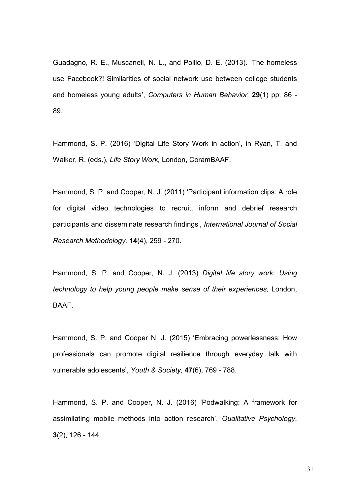Guadagno, R. E., Muscanell, N. L., and Pollio, D. E. (2013). 'The homeless use Facebook?! Similarities of social network use between college students and homeless young adults', Computers in Human Behavior, 29(1) pp. 86 - 89.

Hammond, S. P. (2016) 'Digital Life Story Work in action', in Ryan, T. and Walker, R. (eds.), Life Story Work, London, CoramBAAF.

Hammond, S. P. and Cooper, N. J. (2011) 'Participant information clips: A role for digital video technologies to recruit, inform and debrief research participants and disseminate research findings', International Journal of Social Research Methodology, 14(4), 259 - 270.

Hammond, S. P. and Cooper, N. J. (2013) Digital life story work: Using technology to help young people make sense of their experiences, London, BAAF.

Hammond, S. P. and Cooper N. J. (2015) 'Embracing powerlessness: How professionals can promote digital resilience through everyday talk with vulnerable adolescents', Youth & Society, 47(6), 769 - 788.

Hammond, S. P. and Cooper, N. J. (2016) 'Podwalking: A framework for assimilating mobile methods into action research', Qualitative Psychology, 3(2), 126 - 144.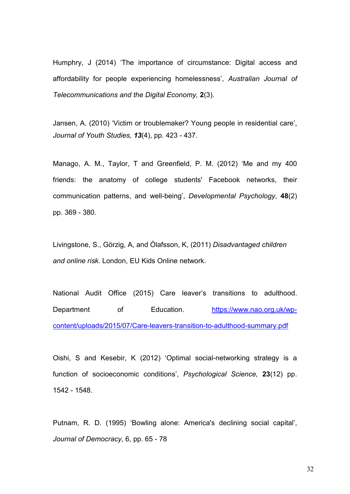Humphry, J (2014) 'The importance of circumstance: Digital access and affordability for people experiencing homelessness', Australian Journal of Telecommunications and the Digital Economy, 2(3).

Jansen, A. (2010) 'Victim or troublemaker? Young people in residential care', Journal of Youth Studies, 13(4), pp. 423 - 437.

Manago, A. M., Taylor, T and Greenfield, P. M. (2012) 'Me and my 400 friends: the anatomy of college students' Facebook networks, their communication patterns, and well-being', Developmental Psychology, 48(2) pp. 369 - 380.

Livingstone, S., Görzig, A, and Ólafsson, K, (2011) Disadvantaged children and online risk. London, EU Kids Online network.

National Audit Office (2015) Care leaver's transitions to adulthood. Department of Education. https://www.nao.org.uk/wpcontent/uploads/2015/07/Care-leavers-transition-to-adulthood-summary.pdf

Oishi, S and Kesebir, K (2012) 'Optimal social-networking strategy is a function of socioeconomic conditions', Psychological Science, 23(12) pp. 1542 - 1548.

Putnam, R. D. (1995) 'Bowling alone: America's declining social capital', Journal of Democracy, 6, pp. 65 - 78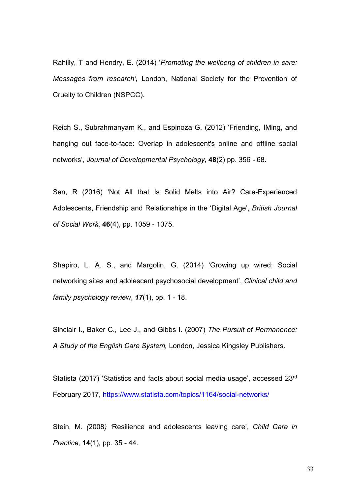Rahilly, T and Hendry, E. (2014) 'Promoting the wellbeng of children in care: Messages from research', London, National Society for the Prevention of Cruelty to Children (NSPCC).

Reich S., Subrahmanyam K., and Espinoza G. (2012) 'Friending, IMing, and hanging out face-to-face: Overlap in adolescent's online and offline social networks', Journal of Developmental Psychology, 48(2) pp. 356 - 68.

Sen, R (2016) 'Not All that Is Solid Melts into Air? Care-Experienced Adolescents, Friendship and Relationships in the 'Digital Age', British Journal of Social Work, 46(4), pp. 1059 - 1075.

Shapiro, L. A. S., and Margolin, G. (2014) 'Growing up wired: Social networking sites and adolescent psychosocial development', Clinical child and family psychology review, 17(1), pp. 1 - 18.

Sinclair I., Baker C., Lee J., and Gibbs I. (2007) The Pursuit of Permanence: A Study of the English Care System, London, Jessica Kingsley Publishers.

Statista (2017) 'Statistics and facts about social media usage', accessed 23rd February 2017, https://www.statista.com/topics/1164/social-networks/

Stein, M. (2008) 'Resilience and adolescents leaving care', Child Care in Practice, 14(1), pp. 35 - 44.